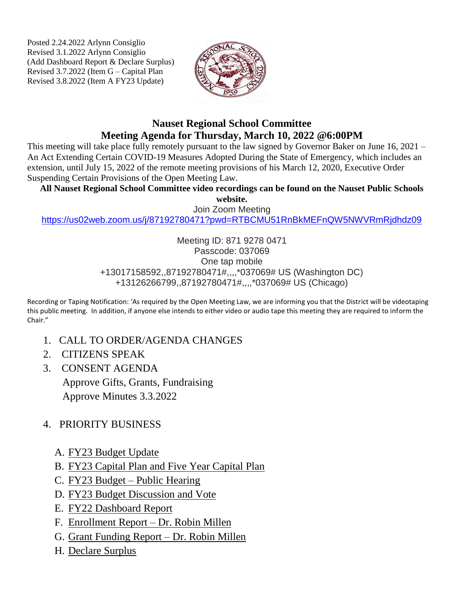Posted 2.24.2022 Arlynn Consiglio Revised 3.1.2022 Arlynn Consiglio (Add Dashboard Report & Declare Surplus) Revised 3.7.2022 (Item G – Capital Plan Revised 3.8.2022 (Item A FY23 Update)



## **Nauset Regional School Committee Meeting Agenda for Thursday, March 10, 2022 @6:00PM**

This meeting will take place fully remotely pursuant to the law signed by Governor Baker on June 16, 2021 – An Act Extending Certain COVID-19 Measures Adopted During the State of Emergency, which includes an extension, until July 15, 2022 of the remote meeting provisions of his March 12, 2020, Executive Order Suspending Certain Provisions of the Open Meeting Law.

**All Nauset Regional School Committee video recordings can be found on the Nauset Public Schools** 

**website.**

Join Zoom Meeting <https://us02web.zoom.us/j/87192780471?pwd=RTBCMU51RnBkMEFnQW5NWVRmRjdhdz09>

> Meeting ID: 871 9278 0471 Passcode: 037069 One tap mobile +13017158592,,87192780471#,,,,\*037069# US (Washington DC) +13126266799,,87192780471#,,,,\*037069# US (Chicago)

Recording or Taping Notification: 'As required by the Open Meeting Law, we are informing you that the District will be videotaping this public meeting. In addition, if anyone else intends to either video or audio tape this meeting they are required to inform the Chair."

- 1. CALL TO ORDER/AGENDA CHANGES
- 2. CITIZENS SPEAK
- 3. CONSENT AGENDA Approve Gifts, Grants, Fundraising Approve Minutes 3.3.2022
- 4. PRIORITY BUSINESS
	- A. FY23 Budget Update
	- B. FY23 Capital Plan and Five Year Capital Plan
	- C. FY23 Budget Public Hearing
	- D. FY23 Budget Discussion and Vote
	- E. FY22 Dashboard Report
	- F. Enrollment Report Dr. Robin Millen
	- G. Grant Funding Report Dr. Robin Millen
	- H. Declare Surplus